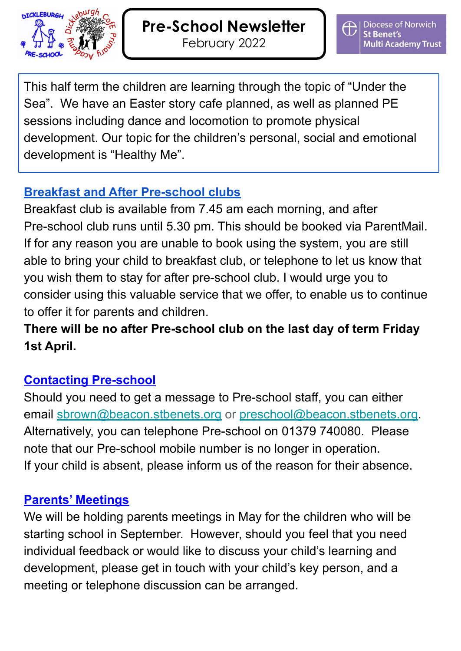

This half term the children are learning through the topic of "Under the Sea". We have an Easter story cafe planned, as well as planned PE sessions including dance and locomotion to promote physical development. Our topic for the children's personal, social and emotional development is "Healthy Me".

## **Breakfast and After Pre-school clubs**

Breakfast club is available from 7.45 am each morning, and after Pre-school club runs until 5.30 pm. This should be booked via ParentMail. If for any reason you are unable to book using the system, you are still able to bring your child to breakfast club, or telephone to let us know that you wish them to stay for after pre-school club. I would urge you to consider using this valuable service that we offer, to enable us to continue to offer it for parents and children.

# **There will be no after Pre-school club on the last day of term Friday 1st April.**

## **Contacting Pre-school**

Should you need to get a message to Pre-school staff, you can either email [sbrown@beacon.stbenets.org](mailto:sbrown@beacon.stbenets.org) or [preschool@beacon.stbenets.org.](mailto:preschool@beacon.stbenets.org) Alternatively, you can telephone Pre-school on 01379 740080. Please note that our Pre-school mobile number is no longer in operation. If your child is absent, please inform us of the reason for their absence.

### **Parents' Meetings**

We will be holding parents meetings in May for the children who will be starting school in September. However, should you feel that you need individual feedback or would like to discuss your child's learning and development, please get in touch with your child's key person, and a meeting or telephone discussion can be arranged.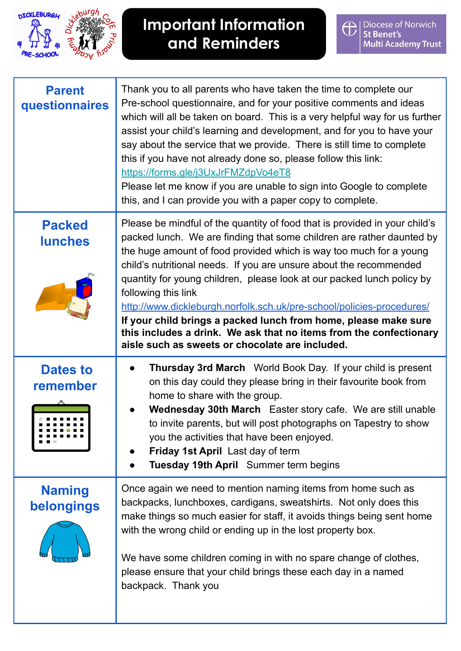

# **Important Information and Reminders**

| <b>Parent</b><br>questionnaires | Thank you to all parents who have taken the time to complete our<br>Pre-school questionnaire, and for your positive comments and ideas<br>which will all be taken on board. This is a very helpful way for us further<br>assist your child's learning and development, and for you to have your<br>say about the service that we provide. There is still time to complete<br>this if you have not already done so, please follow this link:<br>https://forms.gle/j3UxJrFMZdpVo4eT8<br>Please let me know if you are unable to sign into Google to complete<br>this, and I can provide you with a paper copy to complete.                                              |
|---------------------------------|-----------------------------------------------------------------------------------------------------------------------------------------------------------------------------------------------------------------------------------------------------------------------------------------------------------------------------------------------------------------------------------------------------------------------------------------------------------------------------------------------------------------------------------------------------------------------------------------------------------------------------------------------------------------------|
| <b>Packed</b><br><b>lunches</b> | Please be mindful of the quantity of food that is provided in your child's<br>packed lunch. We are finding that some children are rather daunted by<br>the huge amount of food provided which is way too much for a young<br>child's nutritional needs. If you are unsure about the recommended<br>quantity for young children, please look at our packed lunch policy by<br>following this link<br>http://www.dickleburgh.norfolk.sch.uk/pre-school/policies-procedures/<br>If your child brings a packed lunch from home, please make sure<br>this includes a drink. We ask that no items from the confectionary<br>aisle such as sweets or chocolate are included. |
| <b>Dates to</b><br>remember     | <b>Thursday 3rd March</b> World Book Day. If your child is present<br>on this day could they please bring in their favourite book from<br>home to share with the group.<br>Wednesday 30th March Easter story cafe. We are still unable<br>to invite parents, but will post photographs on Tapestry to show<br>you the activities that have been enjoyed.<br>Friday 1st April Last day of term<br>Tuesday 19th April Summer term begins<br>$\bullet$                                                                                                                                                                                                                   |
| <b>Naming</b><br>belongings     | Once again we need to mention naming items from home such as<br>backpacks, lunchboxes, cardigans, sweatshirts. Not only does this<br>make things so much easier for staff, it avoids things being sent home<br>with the wrong child or ending up in the lost property box.<br>We have some children coming in with no spare change of clothes,<br>please ensure that your child brings these each day in a named<br>backpack. Thank you                                                                                                                                                                                                                               |